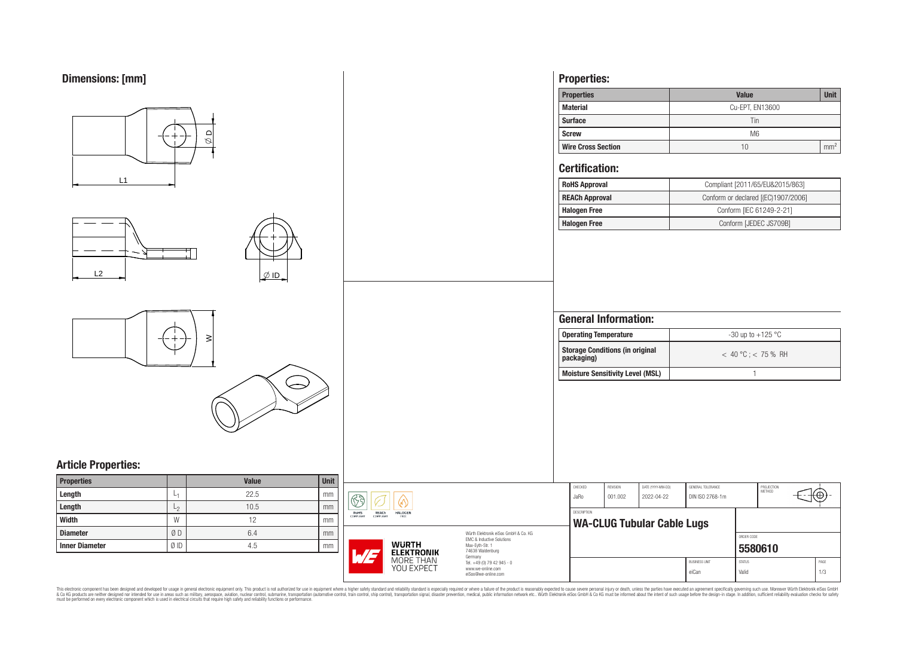

This electronic component has been designed and developed for usage in general electronic equipment only. This product is not authorized for use in equipment where a higher safely standard and reliability standard si espec & Ook product a label and the membed of the seasuch as marked and as which such a membed and the such assume that income in the seasuch and the simulation and the such assume that include to the such a membed and the such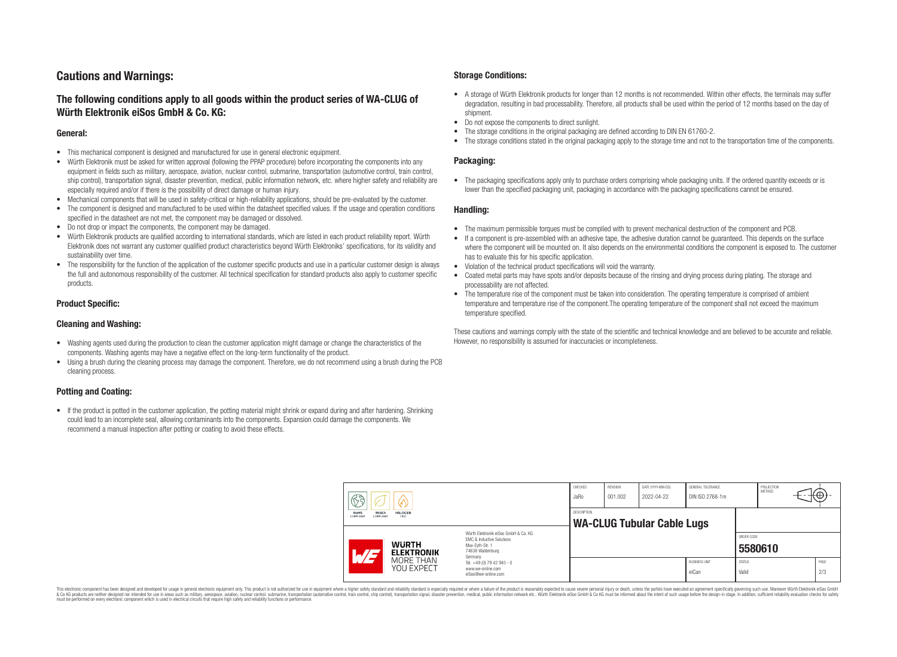# **Cautions and Warnings:**

# **The following conditions apply to all goods within the product series of WA-CLUG of Würth Elektronik eiSos GmbH & Co. KG:**

### **General:**

- This mechanical component is designed and manufactured for use in general electronic equipment.
- Würth Elektronik must be asked for written approval (following the PPAP procedure) before incorporating the components into any equipment in fields such as military, aerospace, aviation, nuclear control, submarine, transportation (automotive control, train control, ship control), transportation signal, disaster prevention, medical, public information network, etc. where higher safety and reliability are especially required and/or if there is the possibility of direct damage or human injury.
- Mechanical components that will be used in safety-critical or high-reliability applications, should be pre-evaluated by the customer.
- The component is designed and manufactured to be used within the datasheet specified values. If the usage and operation conditions specified in the datasheet are not met, the component may be damaged or dissolved.
- Do not drop or impact the components, the component may be damaged.<br>• Wirth Elektronik products are qualified according to international standard
- Würth Elektronik products are qualified according to international standards, which are listed in each product reliability report. Würth Elektronik does not warrant any customer qualified product characteristics beyond Würth Elektroniks' specifications, for its validity and sustainability over time.
- The responsibility for the function of the application of the customer specific products and use in a particular customer design is always the full and autonomous responsibility of the customer. All technical specification for standard products also apply to customer specific products.

### **Product Specific:**

### **Cleaning and Washing:**

- Washing agents used during the production to clean the customer application might damage or change the characteristics of the components. Washing agents may have a negative effect on the long-term functionality of the product.
- Using a brush during the cleaning process may damage the component. Therefore, we do not recommend using a brush during the PCB cleaning process.

## **Potting and Coating:**

• If the product is potted in the customer application, the potting material might shrink or expand during and after hardening. Shrinking could lead to an incomplete seal, allowing contaminants into the components. Expansion could damage the components. We recommend a manual inspection after potting or coating to avoid these effects.

### **Storage Conditions:**

- A storage of Würth Elektronik products for longer than 12 months is not recommended. Within other effects, the terminals may suffer degradation, resulting in bad processability. Therefore, all products shall be used within the period of 12 months based on the day of shipment.
- Do not expose the components to direct sunlight.<br>• The storage conditions in the original packaging
- The storage conditions in the original packaging are defined according to DIN EN 61760-2.
- The storage conditions stated in the original packaging apply to the storage time and not to the transportation time of the components.

### **Packaging:**

• The packaging specifications apply only to purchase orders comprising whole packaging units. If the ordered quantity exceeds or is lower than the specified packaging unit, packaging in accordance with the packaging specifications cannot be ensured.

### **Handling:**

- The maximum permissible torques must be complied with to prevent mechanical destruction of the component and PCB.
- If a component is pre-assembled with an adhesive tape, the adhesive duration cannot be guaranteed. This depends on the surface where the component will be mounted on. It also depends on the environmental conditions the component is exposed to. The customer has to evaluate this for his specific application.
- Violation of the technical product specifications will void the warranty.
- Coated metal parts may have spots and/or deposits because of the rinsing and drying process during plating. The storage and processability are not affected.
- The temperature rise of the component must be taken into consideration. The operating temperature is comprised of ambient temperature and temperature rise of the component.The operating temperature of the component shall not exceed the maximum temperature specified.

These cautions and warnings comply with the state of the scientific and technical knowledge and are believed to be accurate and reliable. However, no responsibility is assumed for inaccuracies or incompleteness.

| $\mathbb{R}$ a<br>V               |                                                                     | CHECKED<br>JaRo                                                                                                                                                                               | <b>REVISION</b><br>001.002 | DATE (YYYY-MM-DD)<br>2022-04-22                  | GENERAL TOLERANCE<br>DIN ISO 2768-1m |                               | PROJECTION<br><b>METHOD</b> | <del>⊣t</del> ⊕+-     |  |             |  |
|-----------------------------------|---------------------------------------------------------------------|-----------------------------------------------------------------------------------------------------------------------------------------------------------------------------------------------|----------------------------|--------------------------------------------------|--------------------------------------|-------------------------------|-----------------------------|-----------------------|--|-------------|--|
| <b>REACh</b><br>RoHS<br>COMPLIANT | <b>HALOGEN</b><br>COMPLIANT<br>FREE                                 |                                                                                                                                                                                               |                            | DESCRIPTION<br><b>WA-CLUG Tubular Cable Lugs</b> |                                      |                               |                             |                       |  |             |  |
| $\overline{\phantom{a}}$          | <b>WURTH</b><br><b>ELEKTRONIK</b><br>MORE THAN<br><b>YOU EXPECT</b> | Würth Elektronik eiSos GmbH & Co. KG<br>EMC & Inductive Solutions<br>Max-Evth-Str. 1<br>74638 Waldenburg<br>Germany<br>Tel. +49 (0) 79 42 945 - 0<br>www.we-online.com<br>eiSos@we-online.com |                            |                                                  |                                      |                               |                             | ORDER CODE<br>5580610 |  |             |  |
|                                   |                                                                     |                                                                                                                                                                                               |                            |                                                  |                                      | <b>BUSINESS UNIT</b><br>eiCan | <b>STATUS</b><br>Valid      |                       |  | PAGE<br>2/3 |  |

This electronic component has been designed and developed for usage in general electronic equipment only. This product is not authorized for use in equipment where a higher safety standard and reliability standard si espec & Ook product a label and the membed of the seasuch as marked and as which such a membed and the such assume that income in the seasuch and the simulation and the such assume that include to the such a membed and the such